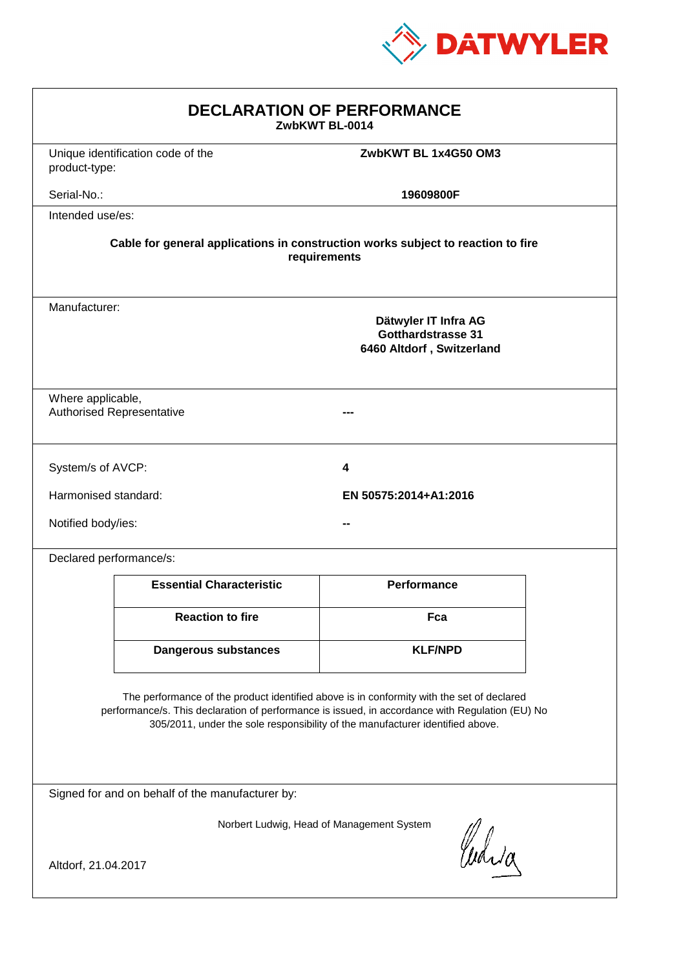

| <b>DECLARATION OF PERFORMANCE</b><br>ZwbKWT BL-0014                                                                                                                                                                                                                           |                                   |                                                                         |  |  |
|-------------------------------------------------------------------------------------------------------------------------------------------------------------------------------------------------------------------------------------------------------------------------------|-----------------------------------|-------------------------------------------------------------------------|--|--|
| product-type:                                                                                                                                                                                                                                                                 | Unique identification code of the | ZwbKWT BL 1x4G50 OM3                                                    |  |  |
| Serial-No.:                                                                                                                                                                                                                                                                   |                                   | 19609800F                                                               |  |  |
| Intended use/es:                                                                                                                                                                                                                                                              |                                   |                                                                         |  |  |
| Cable for general applications in construction works subject to reaction to fire<br>requirements                                                                                                                                                                              |                                   |                                                                         |  |  |
| Manufacturer:                                                                                                                                                                                                                                                                 |                                   | Dätwyler IT Infra AG<br>Gotthardstrasse 31<br>6460 Altdorf, Switzerland |  |  |
| Where applicable,                                                                                                                                                                                                                                                             | <b>Authorised Representative</b>  |                                                                         |  |  |
| System/s of AVCP:                                                                                                                                                                                                                                                             |                                   | 4                                                                       |  |  |
| Harmonised standard:                                                                                                                                                                                                                                                          |                                   | EN 50575:2014+A1:2016                                                   |  |  |
| Notified body/ies:                                                                                                                                                                                                                                                            |                                   |                                                                         |  |  |
| Declared performance/s:                                                                                                                                                                                                                                                       |                                   |                                                                         |  |  |
|                                                                                                                                                                                                                                                                               | <b>Essential Characteristic</b>   | <b>Performance</b>                                                      |  |  |
|                                                                                                                                                                                                                                                                               | <b>Reaction to fire</b>           | Fca                                                                     |  |  |
|                                                                                                                                                                                                                                                                               | <b>Dangerous substances</b>       | <b>KLF/NPD</b>                                                          |  |  |
| The performance of the product identified above is in conformity with the set of declared<br>performance/s. This declaration of performance is issued, in accordance with Regulation (EU) No<br>305/2011, under the sole responsibility of the manufacturer identified above. |                                   |                                                                         |  |  |
| Signed for and on behalf of the manufacturer by:                                                                                                                                                                                                                              |                                   |                                                                         |  |  |
| Norbert Ludwig, Head of Management System<br>Whia                                                                                                                                                                                                                             |                                   |                                                                         |  |  |
| Altdorf, 21.04.2017                                                                                                                                                                                                                                                           |                                   |                                                                         |  |  |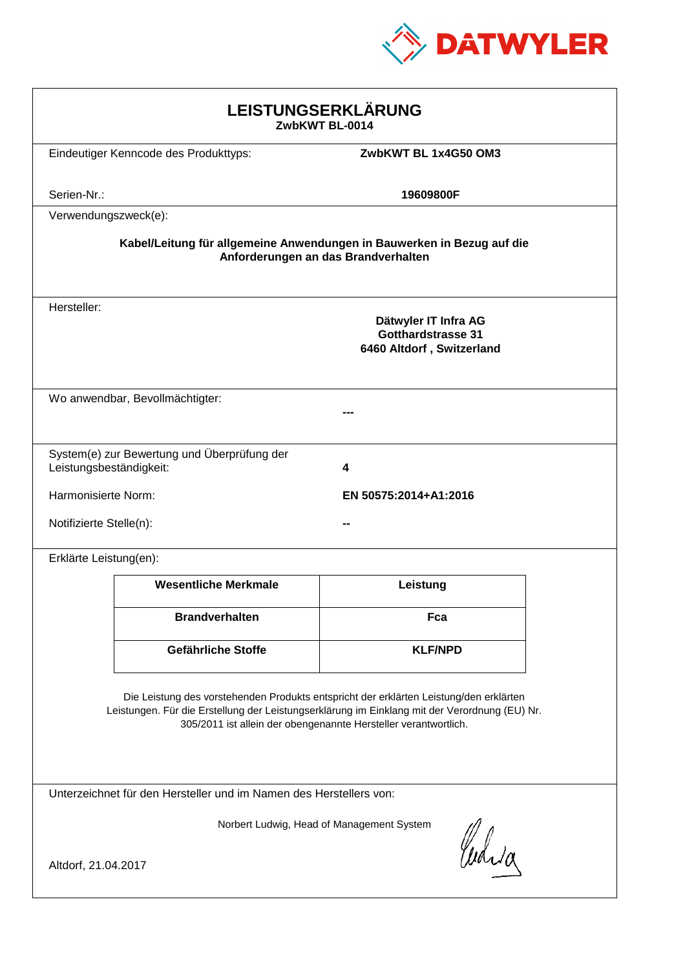

| LEISTUNGSERKLÄRUNG<br>ZwbKWT BL-0014                                                                                                                                                                                                                       |                                             |                                                                                |  |  |
|------------------------------------------------------------------------------------------------------------------------------------------------------------------------------------------------------------------------------------------------------------|---------------------------------------------|--------------------------------------------------------------------------------|--|--|
|                                                                                                                                                                                                                                                            | Eindeutiger Kenncode des Produkttyps:       | ZwbKWT BL 1x4G50 OM3                                                           |  |  |
| Serien-Nr.:                                                                                                                                                                                                                                                |                                             | 19609800F                                                                      |  |  |
| Verwendungszweck(e):                                                                                                                                                                                                                                       |                                             |                                                                                |  |  |
| Kabel/Leitung für allgemeine Anwendungen in Bauwerken in Bezug auf die<br>Anforderungen an das Brandverhalten                                                                                                                                              |                                             |                                                                                |  |  |
| Hersteller:                                                                                                                                                                                                                                                |                                             | Dätwyler IT Infra AG<br><b>Gotthardstrasse 31</b><br>6460 Altdorf, Switzerland |  |  |
|                                                                                                                                                                                                                                                            | Wo anwendbar, Bevollmächtigter:             |                                                                                |  |  |
| Leistungsbeständigkeit:                                                                                                                                                                                                                                    | System(e) zur Bewertung und Überprüfung der | 4                                                                              |  |  |
| Harmonisierte Norm:                                                                                                                                                                                                                                        |                                             | EN 50575:2014+A1:2016                                                          |  |  |
| Notifizierte Stelle(n):                                                                                                                                                                                                                                    |                                             |                                                                                |  |  |
| Erklärte Leistung(en):                                                                                                                                                                                                                                     |                                             |                                                                                |  |  |
|                                                                                                                                                                                                                                                            | <b>Wesentliche Merkmale</b>                 | Leistung                                                                       |  |  |
|                                                                                                                                                                                                                                                            | <b>Brandverhalten</b>                       | Fca                                                                            |  |  |
|                                                                                                                                                                                                                                                            | Gefährliche Stoffe                          | <b>KLF/NPD</b>                                                                 |  |  |
| Die Leistung des vorstehenden Produkts entspricht der erklärten Leistung/den erklärten<br>Leistungen. Für die Erstellung der Leistungserklärung im Einklang mit der Verordnung (EU) Nr.<br>305/2011 ist allein der obengenannte Hersteller verantwortlich. |                                             |                                                                                |  |  |
| Unterzeichnet für den Hersteller und im Namen des Herstellers von:                                                                                                                                                                                         |                                             |                                                                                |  |  |
| Norbert Ludwig, Head of Management System<br>Curia                                                                                                                                                                                                         |                                             |                                                                                |  |  |
| Altdorf, 21.04.2017                                                                                                                                                                                                                                        |                                             |                                                                                |  |  |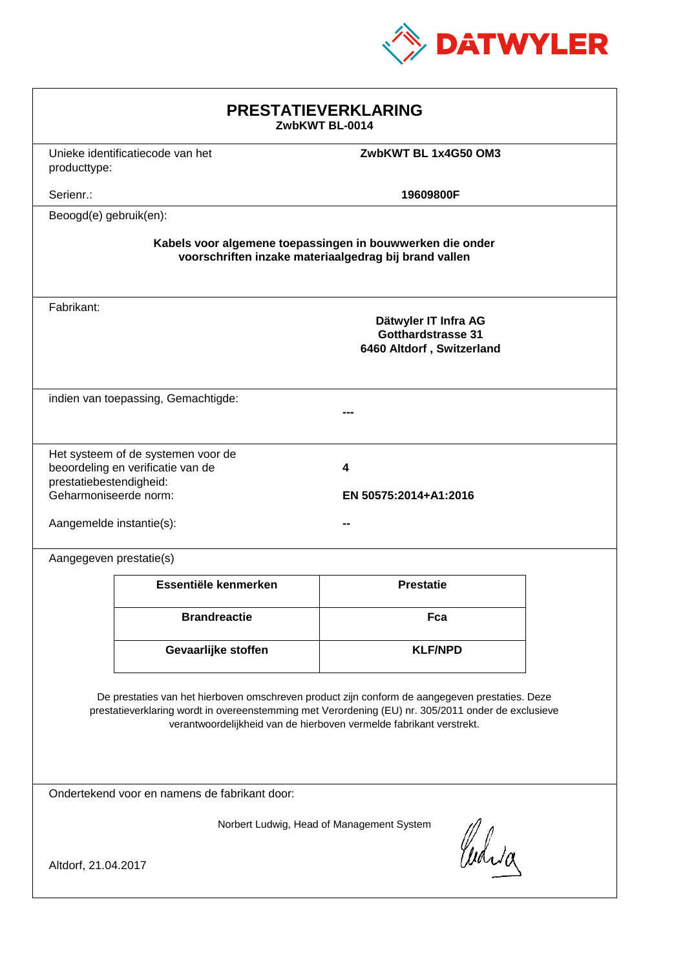

| <b>PRESTATIEVERKLARING</b><br>ZwbKWT BL-0014                                                                                                                                                                                                                                |                                                          |                  |  |  |
|-----------------------------------------------------------------------------------------------------------------------------------------------------------------------------------------------------------------------------------------------------------------------------|----------------------------------------------------------|------------------|--|--|
| producttype:                                                                                                                                                                                                                                                                | Unieke identificatiecode van het<br>ZwbKWT BL 1x4G50 OM3 |                  |  |  |
| Serienr.:                                                                                                                                                                                                                                                                   |                                                          | 19609800F        |  |  |
| Beoogd(e) gebruik(en):                                                                                                                                                                                                                                                      |                                                          |                  |  |  |
| Kabels voor algemene toepassingen in bouwwerken die onder<br>voorschriften inzake materiaalgedrag bij brand vallen                                                                                                                                                          |                                                          |                  |  |  |
| Fabrikant:<br>Dätwyler IT Infra AG<br>Gotthardstrasse 31<br>6460 Altdorf, Switzerland                                                                                                                                                                                       |                                                          |                  |  |  |
|                                                                                                                                                                                                                                                                             | indien van toepassing, Gemachtigde:                      |                  |  |  |
| Het systeem of de systemen voor de<br>beoordeling en verificatie van de<br>4<br>prestatiebestendigheid:<br>Geharmoniseerde norm:<br>EN 50575:2014+A1:2016<br>Aangemelde instantie(s):                                                                                       |                                                          |                  |  |  |
| Aangegeven prestatie(s)                                                                                                                                                                                                                                                     |                                                          |                  |  |  |
|                                                                                                                                                                                                                                                                             | Essentiële kenmerken                                     | <b>Prestatie</b> |  |  |
|                                                                                                                                                                                                                                                                             | <b>Brandreactie</b>                                      | Fca              |  |  |
|                                                                                                                                                                                                                                                                             | Gevaarlijke stoffen                                      | <b>KLF/NPD</b>   |  |  |
| De prestaties van het hierboven omschreven product zijn conform de aangegeven prestaties. Deze<br>prestatieverklaring wordt in overeenstemming met Verordening (EU) nr. 305/2011 onder de exclusieve<br>verantwoordelijkheid van de hierboven vermelde fabrikant verstrekt. |                                                          |                  |  |  |
| Ondertekend voor en namens de fabrikant door:                                                                                                                                                                                                                               |                                                          |                  |  |  |
| Norbert Ludwig, Head of Management System<br>Waid<br>Altdorf, 21.04.2017                                                                                                                                                                                                    |                                                          |                  |  |  |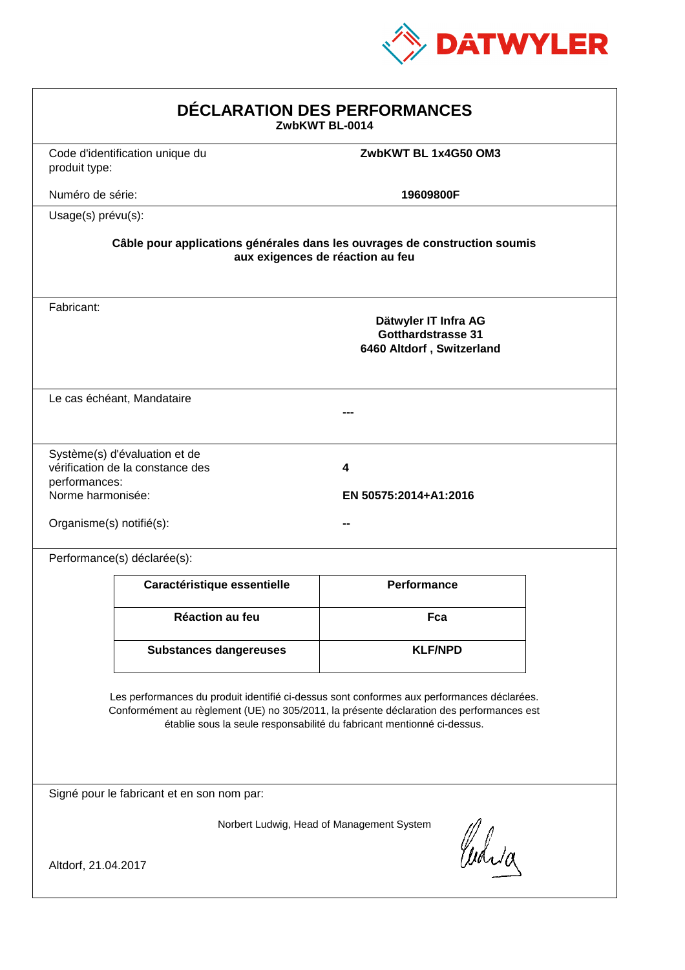

| DÉCLARATION DES PERFORMANCES<br>ZwbKWT BL-0014                                                                                                                                                                                                                   |                                                                                                                |                                                                                |  |  |  |
|------------------------------------------------------------------------------------------------------------------------------------------------------------------------------------------------------------------------------------------------------------------|----------------------------------------------------------------------------------------------------------------|--------------------------------------------------------------------------------|--|--|--|
| produit type:                                                                                                                                                                                                                                                    | Code d'identification unique du                                                                                | ZwbKWT BL 1x4G50 OM3                                                           |  |  |  |
| Numéro de série:                                                                                                                                                                                                                                                 |                                                                                                                | 19609800F                                                                      |  |  |  |
| Usage(s) prévu(s):                                                                                                                                                                                                                                               |                                                                                                                |                                                                                |  |  |  |
|                                                                                                                                                                                                                                                                  | Câble pour applications générales dans les ouvrages de construction soumis<br>aux exigences de réaction au feu |                                                                                |  |  |  |
| Fabricant:                                                                                                                                                                                                                                                       |                                                                                                                | Dätwyler IT Infra AG<br><b>Gotthardstrasse 31</b><br>6460 Altdorf, Switzerland |  |  |  |
|                                                                                                                                                                                                                                                                  | Le cas échéant, Mandataire                                                                                     |                                                                                |  |  |  |
| performances:<br>Norme harmonisée:<br>Organisme(s) notifié(s):                                                                                                                                                                                                   | Système(s) d'évaluation et de<br>vérification de la constance des                                              | 4<br>EN 50575:2014+A1:2016                                                     |  |  |  |
|                                                                                                                                                                                                                                                                  | Performance(s) déclarée(s):                                                                                    |                                                                                |  |  |  |
|                                                                                                                                                                                                                                                                  | Caractéristique essentielle                                                                                    | <b>Performance</b>                                                             |  |  |  |
|                                                                                                                                                                                                                                                                  | Réaction au feu                                                                                                | Fca                                                                            |  |  |  |
|                                                                                                                                                                                                                                                                  | <b>Substances dangereuses</b>                                                                                  | <b>KLF/NPD</b>                                                                 |  |  |  |
| Les performances du produit identifié ci-dessus sont conformes aux performances déclarées.<br>Conformément au règlement (UE) no 305/2011, la présente déclaration des performances est<br>établie sous la seule responsabilité du fabricant mentionné ci-dessus. |                                                                                                                |                                                                                |  |  |  |
|                                                                                                                                                                                                                                                                  | Signé pour le fabricant et en son nom par:                                                                     |                                                                                |  |  |  |
| Norbert Ludwig, Head of Management System<br>Whia<br>Altdorf, 21.04.2017                                                                                                                                                                                         |                                                                                                                |                                                                                |  |  |  |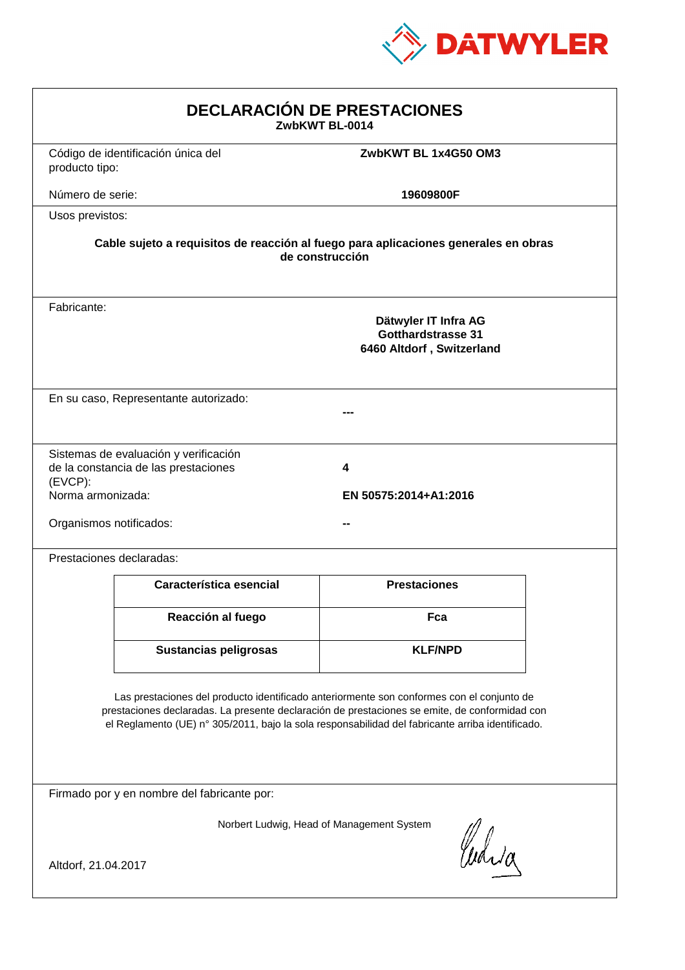

| <b>DECLARACIÓN DE PRESTACIONES</b><br>ZwbKWT BL-0014                                                                                                                                                                                                                                           |                                    |                      |  |  |
|------------------------------------------------------------------------------------------------------------------------------------------------------------------------------------------------------------------------------------------------------------------------------------------------|------------------------------------|----------------------|--|--|
| producto tipo:                                                                                                                                                                                                                                                                                 | Código de identificación única del | ZwbKWT BL 1x4G50 OM3 |  |  |
| Número de serie:                                                                                                                                                                                                                                                                               |                                    | 19609800F            |  |  |
| Usos previstos:                                                                                                                                                                                                                                                                                |                                    |                      |  |  |
| Cable sujeto a requisitos de reacción al fuego para aplicaciones generales en obras<br>de construcción                                                                                                                                                                                         |                                    |                      |  |  |
| Fabricante:<br>Dätwyler IT Infra AG<br><b>Gotthardstrasse 31</b><br>6460 Altdorf, Switzerland                                                                                                                                                                                                  |                                    |                      |  |  |
| En su caso, Representante autorizado:                                                                                                                                                                                                                                                          |                                    |                      |  |  |
| Sistemas de evaluación y verificación<br>de la constancia de las prestaciones<br>4<br>$(EVCP)$ :<br>Norma armonizada:<br>EN 50575:2014+A1:2016<br>Organismos notificados:                                                                                                                      |                                    |                      |  |  |
| Prestaciones declaradas:                                                                                                                                                                                                                                                                       |                                    |                      |  |  |
|                                                                                                                                                                                                                                                                                                | Característica esencial            | <b>Prestaciones</b>  |  |  |
|                                                                                                                                                                                                                                                                                                | Reacción al fuego                  | Fca                  |  |  |
|                                                                                                                                                                                                                                                                                                | <b>Sustancias peligrosas</b>       | <b>KLF/NPD</b>       |  |  |
| Las prestaciones del producto identificado anteriormente son conformes con el conjunto de<br>prestaciones declaradas. La presente declaración de prestaciones se emite, de conformidad con<br>el Reglamento (UE) nº 305/2011, bajo la sola responsabilidad del fabricante arriba identificado. |                                    |                      |  |  |
| Firmado por y en nombre del fabricante por:                                                                                                                                                                                                                                                    |                                    |                      |  |  |
| Norbert Ludwig, Head of Management System<br>Waia<br>Altdorf, 21.04.2017                                                                                                                                                                                                                       |                                    |                      |  |  |